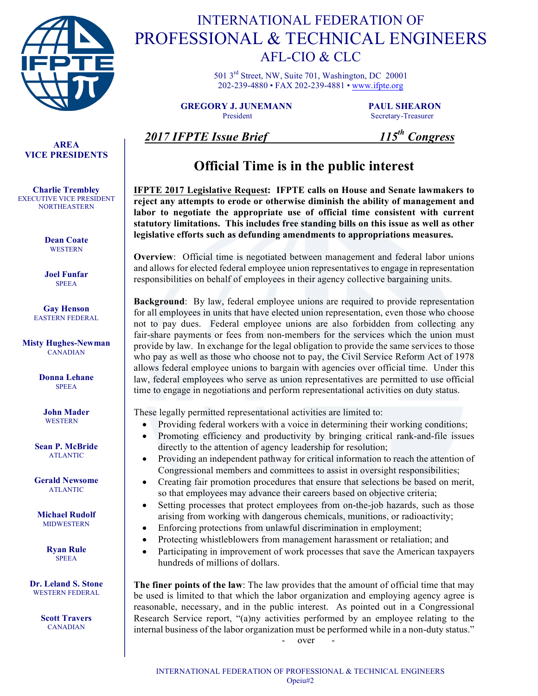

# INTERNATIONAL FEDERATION OF PROFESSIONAL & TECHNICAL ENGINEERS AFL-CIO & CLC

501 3rd Street, NW, Suite 701, Washington, DC 20001 202-239-4880 • FAX 202-239-4881 • www.ifpte.org

**GREGORY J. JUNEMANN PAUL SHEARON** President Secretary-Treasurer

### **AREA VICE PRESIDENTS**

**Charlie Trembley** EXECUTIVE VICE PRESIDENT **NORTHEASTERN** 

> **Dean Coate WESTERN**

**Joel Funfar** SPEEA

**Gay Henson** EASTERN FEDERAL

**Misty Hughes-Newman** CANADIAN

> **Donna Lehane SPEEA**

**John Mader WESTERN** 

**Sean P. McBride** ATLANTIC

**Gerald Newsome** ATLANTIC

**Michael Rudolf** MIDWESTERN

> **Ryan Rule SPEEA**

**Dr. Leland S. Stone**  WESTERN FEDERAL

> **Scott Travers** CANADIAN

### *2017 IFPTE Issue Brief 115th Congress*

## **Official Time is in the public interest**

**IFPTE 2017 Legislative Request: IFPTE calls on House and Senate lawmakers to reject any attempts to erode or otherwise diminish the ability of management and labor to negotiate the appropriate use of official time consistent with current statutory limitations. This includes free standing bills on this issue as well as other legislative efforts such as defunding amendments to appropriations measures.** 

**Overview**: Official time is negotiated between management and federal labor unions and allows for elected federal employee union representatives to engage in representation responsibilities on behalf of employees in their agency collective bargaining units.

**Background**: By law, federal employee unions are required to provide representation for all employees in units that have elected union representation, even those who choose not to pay dues. Federal employee unions are also forbidden from collecting any fair-share payments or fees from non-members for the services which the union must provide by law. In exchange for the legal obligation to provide the same services to those who pay as well as those who choose not to pay, the Civil Service Reform Act of 1978 allows federal employee unions to bargain with agencies over official time. Under this law, federal employees who serve as union representatives are permitted to use official time to engage in negotiations and perform representational activities on duty status.

These legally permitted representational activities are limited to:

- Providing federal workers with a voice in determining their working conditions;
- Promoting efficiency and productivity by bringing critical rank-and-file issues directly to the attention of agency leadership for resolution;
- Providing an independent pathway for critical information to reach the attention of Congressional members and committees to assist in oversight responsibilities;
- Creating fair promotion procedures that ensure that selections be based on merit, so that employees may advance their careers based on objective criteria;
- Setting processes that protect employees from on-the-job hazards, such as those arising from working with dangerous chemicals, munitions, or radioactivity;
- Enforcing protections from unlawful discrimination in employment;
- Protecting whistleblowers from management harassment or retaliation; and
- Participating in improvement of work processes that save the American taxpayers hundreds of millions of dollars.

**The finer points of the law**: The law provides that the amount of official time that may be used is limited to that which the labor organization and employing agency agree is reasonable, necessary, and in the public interest. As pointed out in a Congressional Research Service report, "(a)ny activities performed by an employee relating to the internal business of the labor organization must be performed while in a non-duty status."

over